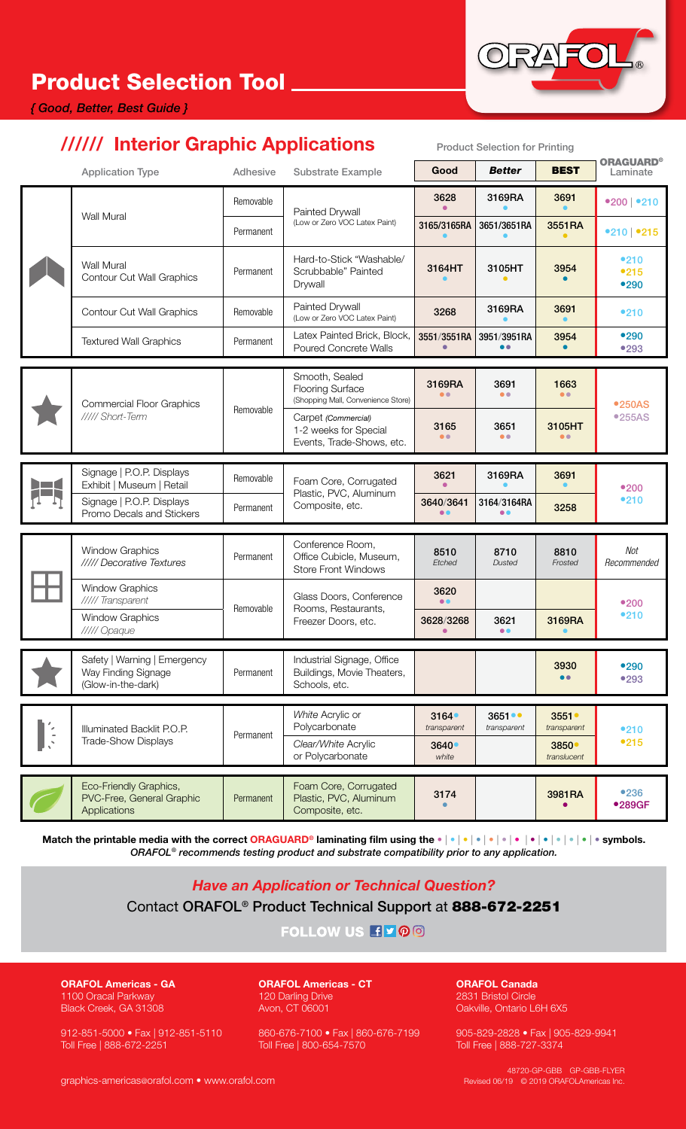# Product Selection Tool

#### *{ Good, Better, Best Guide }*

### ////// Interior Graphic Applications Product Selection for Printing

|               | <b>Application Type</b>                                                   | Adhesive  | <b>Substrate Example</b>                                                        | Good                                  | <b>Better</b>                   | <b>BEST</b>                                             | <b>ORAGUARD®</b><br>Laminate |
|---------------|---------------------------------------------------------------------------|-----------|---------------------------------------------------------------------------------|---------------------------------------|---------------------------------|---------------------------------------------------------|------------------------------|
|               | <b>Wall Mural</b>                                                         | Removable | Painted Drywall<br>(Low or Zero VOC Latex Paint)                                | 3628                                  | 3169RA                          | 3691                                                    | •200   •210                  |
|               |                                                                           | Permanent |                                                                                 | 3165/3165RA                           | 3651/3651RA                     | 3551RA                                                  | •210 •215                    |
|               | <b>Wall Mural</b><br><b>Contour Cut Wall Graphics</b>                     | Permanent | Hard-to-Stick "Washable/<br>Scrubbable" Painted<br>Drywall                      | 3164HT                                | 3105HT                          | 3954                                                    | •210<br>•215<br>•290         |
|               | <b>Contour Cut Wall Graphics</b>                                          | Removable | Painted Drywall<br>(Low or Zero VOC Latex Paint)                                | 3268                                  | 3169RA                          | 3691                                                    | •210                         |
|               | <b>Textured Wall Graphics</b>                                             | Permanent | Latex Painted Brick, Block,<br><b>Poured Concrete Walls</b>                     | 3551/3551RA                           | 3951/3951RA<br>$\bullet\bullet$ | 3954                                                    | •290<br>•293                 |
|               | <b>Commercial Floor Graphics</b><br>///// Short-Term                      | Removable | Smooth, Sealed<br><b>Flooring Surface</b><br>(Shopping Mall, Convenience Store) | 3169RA<br>$\bullet$                   | 3691<br>$\bullet$               | 1663<br>$\bullet$                                       | <b>•250AS</b><br>•255AS      |
|               |                                                                           |           | Carpet (Commercial)<br>1-2 weeks for Special<br>Events, Trade-Shows, etc.       | 3165<br>$\bullet$                     | 3651<br>$\bullet$               | 3105HT<br>$\bullet$                                     |                              |
|               | Signage   P.O.P. Displays                                                 | Removable | Foam Core, Corrugated<br>Plastic, PVC, Aluminum<br>Composite, etc.              | 3621                                  | 3169RA                          | 3691                                                    | •200<br>•210                 |
|               | Exhibit   Museum   Retail                                                 |           |                                                                                 |                                       |                                 |                                                         |                              |
|               | Signage   P.O.P. Displays<br>Promo Decals and Stickers                    | Permanent |                                                                                 | 3640/3641<br>88                       | 3164/3164RA<br>88               | 3258                                                    |                              |
|               | <b>Window Graphics</b><br>///// Decorative Textures                       | Permanent | Conference Room,<br>Office Cubicle, Museum,<br><b>Store Front Windows</b>       | 8510<br>Etched                        | 8710<br><b>Dusted</b>           | 8810<br>Frosted                                         | Not<br>Recommended           |
|               | <b>Window Graphics</b><br>///// Transparent                               | Removable | Glass Doors, Conference<br>Rooms, Restaurants,<br>Freezer Doors, etc.           | 3620<br>$\bullet$                     |                                 |                                                         |                              |
|               | <b>Window Graphics</b><br>///// Opaque                                    |           |                                                                                 | 3628/3268                             | 3621<br>$\bullet\bullet$        | 3169RA                                                  | •200<br>•210                 |
|               | Safety   Warning   Emergency<br>Way Finding Signage<br>(Glow-in-the-dark) | Permanent | Industrial Signage, Office<br>Buildings, Movie Theaters,<br>Schools, etc.       |                                       |                                 | 3930                                                    | •290<br>•293                 |
| $\frac{1}{2}$ | Illuminated Backlit P.O.P.<br>Trade-Show Displays                         | Permanent | White Acrylic or<br>Polycarbonate<br>Clear/White Acrylic<br>or Polycarbonate    | 3164<br>transparent<br>3640●<br>white | 3651<br>transparent             | 3551<br>transparent<br>3850 <sup>°</sup><br>translucent | •210<br>•215                 |
|               | Eco-Friendly Graphics,<br>PVC-Free, General Graphic<br>Applications       | Permanent | Foam Core, Corrugated<br>Plastic, PVC, Aluminum<br>Composite, etc.              | 3174                                  |                                 | 3981RA                                                  | •236<br>•289GF               |

Match the printable media with the correct ORAGUARD® laminating film using the • | • | • | • | • | • | • | • | • | • | • | • | • symbols. *ORAFOL® recommends testing product and substrate compatibility prior to any application.*

*Have an Application or Technical Question?*

Contact ORAFOL® Product Technical Support at 888-672-2251

FOLLOW US HVOO

ORAFOL Americas - GA 1100 Oracal Parkway Black Creek, GA 31308

912-851-5000 • Fax | 912-851-5110 Toll Free | 888-672-2251

ORAFOL Americas - CT 120 Darling Drive Avon, CT 06001

860-676-7100 • Fax | 860-676-7199 Toll Free | 800-654-7570

ORAFOL Canada 2831 Bristol Circle Oakville, Ontario L6H 6X5

905-829-2828 • Fax | 905-829-9941 Toll Free | 888-727-3374

graphics-americas@orafol.com • www.orafol.com

48720-GP-GBB GP-GBB-FLYER Revised 06/19 © 2019 ORAFOLAmericas Inc.